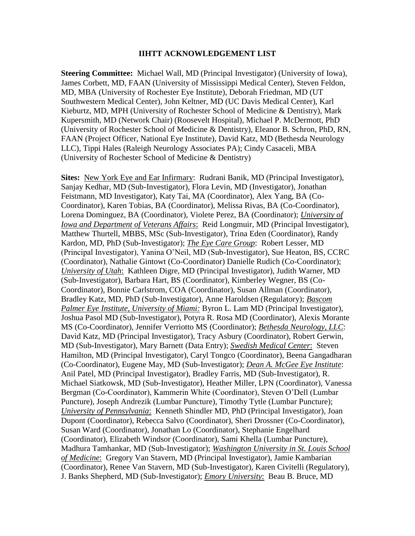## **IIHTT ACKNOWLEDGEMENT LIST**

**Steering Committee:** Michael Wall, MD (Principal Investigator) (University of Iowa), James Corbett, MD, FAAN (University of Mississippi Medical Center), Steven Feldon, MD, MBA (University of Rochester Eye Institute), Deborah Friedman, MD (UT Southwestern Medical Center), John Keltner, MD (UC Davis Medical Center), Karl Kieburtz, MD, MPH (University of Rochester School of Medicine & Dentistry), Mark Kupersmith, MD (Network Chair) (Roosevelt Hospital), Michael P. McDermott, PhD (University of Rochester School of Medicine & Dentistry), Eleanor B. Schron, PhD, RN, FAAN (Project Officer, National Eye Institute), David Katz, MD (Bethesda Neurology LLC), Tippi Hales (Raleigh Neurology Associates PA); Cindy Casaceli, MBA (University of Rochester School of Medicine & Dentistry)

**Sites:** New York Eye and Ear Infirmary: Rudrani Banik, MD (Principal Investigator), Sanjay Kedhar, MD (Sub-Investigator), Flora Levin, MD (Investigator), Jonathan Feistmann, MD Investigator), Katy Tai, MA (Coordinator), Alex Yang, BA (Co-Coordinator), Karen Tobias, BA (Coordinator), Melissa Rivas, BA (Co-Coordinator), Lorena Dominguez, BA (Coordinator), Violete Perez, BA (Coordinator); *University of Iowa and Department of Veterans Affairs*: Reid Longmuir, MD (Principal Investigator), Matthew Thurtell, MBBS, MSc (Sub-Investigator), Trina Eden (Coordinator), Randy Kardon, MD, PhD (Sub-Investigator); *The Eye Care Group*: Robert Lesser, MD (Principal Investigator), Yanina O'Neil, MD (Sub-Investigator), Sue Heaton, BS, CCRC (Coordinator), Nathalie Gintowt (Co-Coordinator) Danielle Rudich (Co-Coordinator); *University of Utah*: Kathleen Digre, MD (Principal Investigator), Judith Warner, MD (Sub-Investigator), Barbara Hart, BS (Coordinator), Kimberley Wegner, BS (Co-Coordinator), Bonnie Carlstrom, COA (Coordinator), Susan Allman (Coordinator), Bradley Katz, MD, PhD (Sub-Investigator), Anne Haroldsen (Regulatory); *Bascom Palmer Eye Institute, University of Miami:* Byron L. Lam MD (Principal Investigator), Joshua Pasol MD (Sub-Investigator), Potyra R. Rosa MD (Coordinator), Alexis Morante MS (Co-Coordinator), Jennifer Verriotto MS (Coordinator); *Bethesda Neurology, LLC*: David Katz, MD (Principal Investigator), Tracy Asbury (Coordinator), Robert Gerwin, MD (Sub-Investigator), Mary Barnett (Data Entry); *Swedish Medical Center*: Steven Hamilton, MD (Principal Investigator), Caryl Tongco (Coordinator), Beena Gangadharan (Co-Coordinator), Eugene May, MD (Sub-Investigator); *Dean A. McGee Eye Institute*: Anil Patel, MD (Principal Investigator), Bradley Farris, MD (Sub-Investigator), R. Michael Siatkowsk, MD (Sub-Investigator), Heather Miller, LPN (Coordinator), Vanessa Bergman (Co-Coordinator), Kammerin White (Coordinator), Steven O'Dell (Lumbar Puncture), Joseph Andrezik (Lumbar Puncture), Timothy Tytle (Lumbar Puncture); *University of Pennsylvania*: Kenneth Shindler MD, PhD (Principal Investigator), Joan Dupont (Coordinator), Rebecca Salvo (Coordinator), Sheri Drossner (Co-Coordinator), Susan Ward (Coordinator), Jonathan Lo (Coordinator), Stephanie Engelhard (Coordinator), Elizabeth Windsor (Coordinator), Sami Khella (Lumbar Puncture), Madhura Tamhankar, MD (Sub-Investigator); *Washington University in St. Louis School of Medicine*: Gregory Van Stavern, MD (Principal Investigator), Jamie Kambarian (Coordinator), Renee Van Stavern, MD (Sub-Investigator), Karen Civitelli (Regulatory), J. Banks Shepherd, MD (Sub-Investigator); *Emory University*: Beau B. Bruce, MD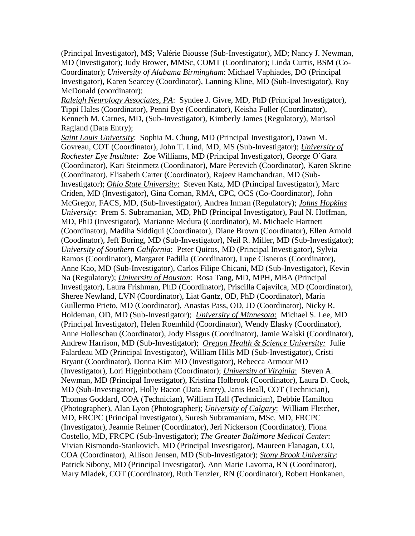(Principal Investigator), MS; Valérie Biousse (Sub-Investigator), MD; Nancy J. Newman, MD (Investigator); Judy Brower, MMSc, COMT (Coordinator); Linda Curtis, BSM (Co-Coordinator); *University of Alabama Birmingham*: Michael Vaphiades, DO (Principal Investigator), Karen Searcey (Coordinator), Lanning Kline, MD (Sub-Investigator), Roy McDonald (coordinator);

*Raleigh Neurology Associates, PA*: Syndee J. Givre, MD, PhD (Principal Investigator), Tippi Hales (Coordinator), Penni Bye (Coordinator), Keisha Fuller (Coordinator), Kenneth M. Carnes, MD, (Sub-Investigator), Kimberly James (Regulatory), Marisol Ragland (Data Entry);

*Saint Louis University*: Sophia M. Chung, MD (Principal Investigator), Dawn M. Govreau, COT (Coordinator), John T. Lind, MD, MS (Sub-Investigator); *University of Rochester Eye Institute:* Zoe Williams, MD (Principal Investigator), George O'Gara (Coordinator), Kari Steinmetz (Coordinator), Mare Perevich (Coordinator), Karen Skrine (Coordinator), Elisabeth Carter (Coordinator), Rajeev Ramchandran, MD (Sub-Investigator); *Ohio State University*: Steven Katz, MD (Principal Investigator), Marc Criden, MD (Investigator), Gina Coman, RMA, CPC, OCS (Co-Coordinator), John McGregor, FACS, MD, (Sub-Investigator), Andrea Inman (Regulatory); *Johns Hopkins University*: Prem S. Subramanian, MD, PhD (Principal Investigator), Paul N. Hoffman, MD, PhD (Investigator), Marianne Medura (Coordinator), M. Michaele Hartnett (Coordinator), Madiha Siddiqui (Coordinator), Diane Brown (Coordinator), Ellen Arnold (Coodinator), Jeff Boring, MD (Sub-Investigator), Neil R. Miller, MD (Sub-Investigator); *University of Southern California*: Peter Quiros, MD (Principal Investigator), Sylvia Ramos (Coordinator), Margaret Padilla (Coordinator), Lupe Cisneros (Coordinator), Anne Kao, MD (Sub-Investigator), Carlos Filipe Chicani, MD (Sub-Investigator), Kevin Na (Regulatory); *University of Houston*: Rosa Tang, MD, MPH, MBA (Principal Investigator), Laura Frishman, PhD (Coordinator), Priscilla Cajavilca, MD (Coordinator), Sheree Newland, LVN (Coordinator), Liat Gantz, OD, PhD (Coordinator), Maria Guillermo Prieto, MD (Coordinator), Anastas Pass, OD, JD (Coordinator), Nicky R. Holdeman, OD, MD (Sub-Investigator); *University of Minnesota*: Michael S. Lee, MD (Principal Investigator), Helen Roemhild (Coordinator), Wendy Elasky (Coordinator), Anne Holleschau (Coordinator), Jody Fissgus (Coordinator), Jamie Walski (Coordinator), Andrew Harrison, MD (Sub-Investigator); *Oregon Health & Science University:* Julie Falardeau MD (Principal Investigator), William Hills MD (Sub-Investigator), Cristi Bryant (Coordinator), Donna Kim MD (Investigator), Rebecca Armour MD (Investigator), Lori Higginbotham (Coordinator); *University of Virginia*: Steven A. Newman, MD (Principal Investigator), Kristina Holbrook (Coordinator), Laura D. Cook, MD (Sub-Investigator), Holly Bacon (Data Entry), Janis Beall, COT (Technician), Thomas Goddard, COA (Technician), William Hall (Technician), Debbie Hamilton (Photographer), Alan Lyon (Photographer); *University of Calgary*: William Fletcher, MD, FRCPC (Principal Investigator), Suresh Subramaniam, MSc, MD, FRCPC (Investigator), Jeannie Reimer (Coordinator), Jeri Nickerson (Coordinator), Fiona Costello, MD, FRCPC (Sub-Investigator); *The Greater Baltimore Medical Center*: Vivian Rismondo-Stankovich, MD (Principal Investigator), Maureen Flanagan, CO, COA (Coordinator), Allison Jensen, MD (Sub-Investigator); *Stony Brook University*: Patrick Sibony, MD (Principal Investigator), Ann Marie Lavorna, RN (Coordinator), Mary Mladek, COT (Coordinator), Ruth Tenzler, RN (Coordinator), Robert Honkanen,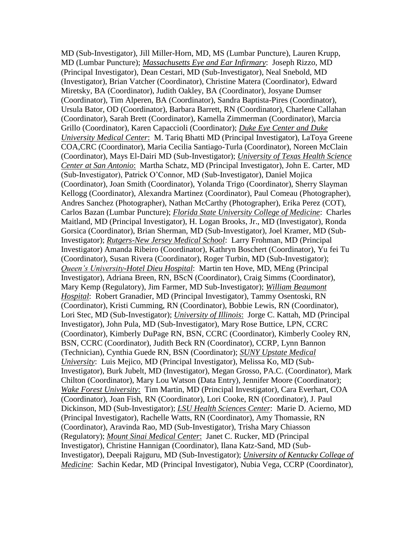MD (Sub-Investigator), Jill Miller-Horn, MD, MS (Lumbar Puncture), Lauren Krupp, MD (Lumbar Puncture); *Massachusetts Eye and Ear Infirmary*: Joseph Rizzo, MD (Principal Investigator), Dean Cestari, MD (Sub-Investigator), Neal Snebold, MD (Investigator), Brian Vatcher (Coordinator), Christine Matera (Coordinator), Edward Miretsky, BA (Coordinator), Judith Oakley, BA (Coordinator), Josyane Dumser (Coordinator), Tim Alperen, BA (Coordinator), Sandra Baptista-Pires (Coordinator), Ursula Bator, OD (Coordinator), Barbara Barrett, RN (Coordinator), Charlene Callahan (Coordinator), Sarah Brett (Coordinator), Kamella Zimmerman (Coordinator), Marcia Grillo (Coordinator), Karen Capaccioli (Coordinator); *Duke Eye Center and Duke University Medical Center*: M. Tariq Bhatti MD (Principal Investigator), LaToya Greene COA,CRC (Coordinator), Maria Cecilia Santiago-Turla (Coordinator), Noreen McClain (Coordinator), Mays El-Dairi MD (Sub-Investigator); *University of Texas Health Science Center at San Antonio*: Martha Schatz, MD (Principal Investigator), John E. Carter, MD (Sub-Investigator), Patrick O'Connor, MD (Sub-Investigator), Daniel Mojica (Coordinator), Joan Smith (Coordinator), Yolanda Trigo (Coordinator), Sherry Slayman Kellogg (Coordinator), Alexandra Martinez (Coordinator), Paul Comeau (Photographer), Andres Sanchez (Photographer), Nathan McCarthy (Photographer), Erika Perez (COT), Carlos Bazan (Lumbar Puncture); *Florida State University College of Medicine*: Charles Maitland, MD (Principal Investigator), H. Logan Brooks, Jr., MD (Investigator), Ronda Gorsica (Coordinator), Brian Sherman, MD (Sub-Investigator), Joel Kramer, MD (Sub-Investigator); *Rutgers-New Jersey Medical School*: Larry Frohman, MD (Principal Investigator) Amanda Ribeiro (Coordinator), Kathryn Boschert (Coordinator), Yu fei Tu (Coordinator), Susan Rivera (Coordinator), Roger Turbin, MD (Sub-Investigator); *Queen's University-Hotel Dieu Hospital*: Martin ten Hove, MD, MEng (Principal Investigator), Adriana Breen, RN, BScN (Coordinator), Craig Simms (Coordinator), Mary Kemp (Regulatory), Jim Farmer, MD Sub-Investigator); *William Beaumont Hospital*: Robert Granadier, MD (Principal Investigator), Tammy Osentoski, RN (Coordinator), Kristi Cumming, RN (Coordinator), Bobbie Lewis, RN (Coordinator), Lori Stec, MD (Sub-Investigator); *University of Illinois*: Jorge C. Kattah, MD (Principal Investigator), John Pula, MD (Sub-Investigator), Mary Rose Buttice, LPN, CCRC (Coordinator), Kimberly DuPage RN, BSN, CCRC (Coordinator), Kimberly Cooley RN, BSN, CCRC (Coordinator), Judith Beck RN (Coordinator), CCRP, Lynn Bannon (Technician), Cynthia Guede RN, BSN (Coordinator); *SUNY Upstate Medical University*: Luis Mejico, MD (Principal Investigator), Melissa Ko, MD (Sub-Investigator), Burk Jubelt, MD (Investigator), Megan Grosso, PA.C. (Coordinator), Mark Chilton (Coordinator), Mary Lou Watson (Data Entry), Jennifer Moore (Coordinator); *Wake Forest University*: Tim Martin, MD (Principal Investigator), Cara Everhart, COA (Coordinator), Joan Fish, RN (Coordinator), Lori Cooke, RN (Coordinator), J. Paul Dickinson, MD (Sub-Investigator); *LSU Health Sciences Center*: Marie D. Acierno, MD (Principal Investigator), Rachelle Watts, RN (Coordinator), Amy Thomassie, RN (Coordinator), Aravinda Rao, MD (Sub-Investigator), Trisha Mary Chiasson (Regulatory); *Mount Sinai Medical Center*: Janet C. Rucker, MD (Principal Investigator), Christine Hannigan (Coordinator), Ilana Katz-Sand, MD (Sub-Investigator), Deepali Rajguru, MD (Sub-Investigator); *University of Kentucky College of Medicine*: Sachin Kedar, MD (Principal Investigator), Nubia Vega, CCRP (Coordinator),